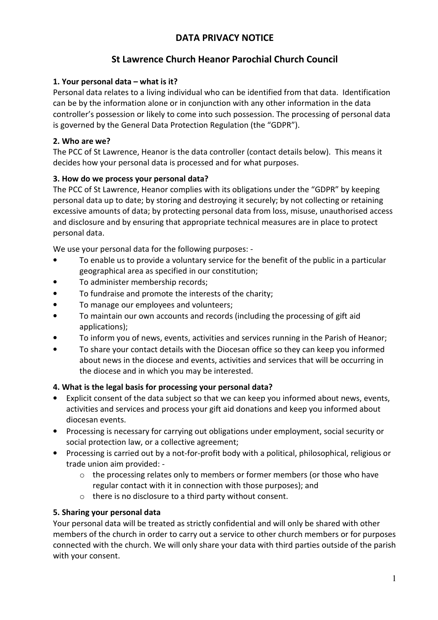# DATA PRIVACY NOTICE

# St Lawrence Church Heanor Parochial Church Council

### 1. Your personal data – what is it?

Personal data relates to a living individual who can be identified from that data. Identification can be by the information alone or in conjunction with any other information in the data controller's possession or likely to come into such possession. The processing of personal data is governed by the General Data Protection Regulation (the "GDPR").

### 2. Who are we?

The PCC of St Lawrence, Heanor is the data controller (contact details below). This means it decides how your personal data is processed and for what purposes.

### 3. How do we process your personal data?

The PCC of St Lawrence, Heanor complies with its obligations under the "GDPR" by keeping personal data up to date; by storing and destroying it securely; by not collecting or retaining excessive amounts of data; by protecting personal data from loss, misuse, unauthorised access and disclosure and by ensuring that appropriate technical measures are in place to protect personal data.

We use your personal data for the following purposes: -

- To enable us to provide a voluntary service for the benefit of the public in a particular geographical area as specified in our constitution;
- To administer membership records;
- To fundraise and promote the interests of the charity;
- To manage our employees and volunteers;
- To maintain our own accounts and records (including the processing of gift aid applications);
- To inform you of news, events, activities and services running in the Parish of Heanor;
- To share your contact details with the Diocesan office so they can keep you informed about news in the diocese and events, activities and services that will be occurring in the diocese and in which you may be interested.

#### 4. What is the legal basis for processing your personal data?

- Explicit consent of the data subject so that we can keep you informed about news, events, activities and services and process your gift aid donations and keep you informed about diocesan events.
- Processing is necessary for carrying out obligations under employment, social security or social protection law, or a collective agreement;
- Processing is carried out by a not-for-profit body with a political, philosophical, religious or trade union aim provided: -
	- $\circ$  the processing relates only to members or former members (or those who have regular contact with it in connection with those purposes); and
	- o there is no disclosure to a third party without consent.

#### 5. Sharing your personal data

Your personal data will be treated as strictly confidential and will only be shared with other members of the church in order to carry out a service to other church members or for purposes connected with the church. We will only share your data with third parties outside of the parish with your consent.